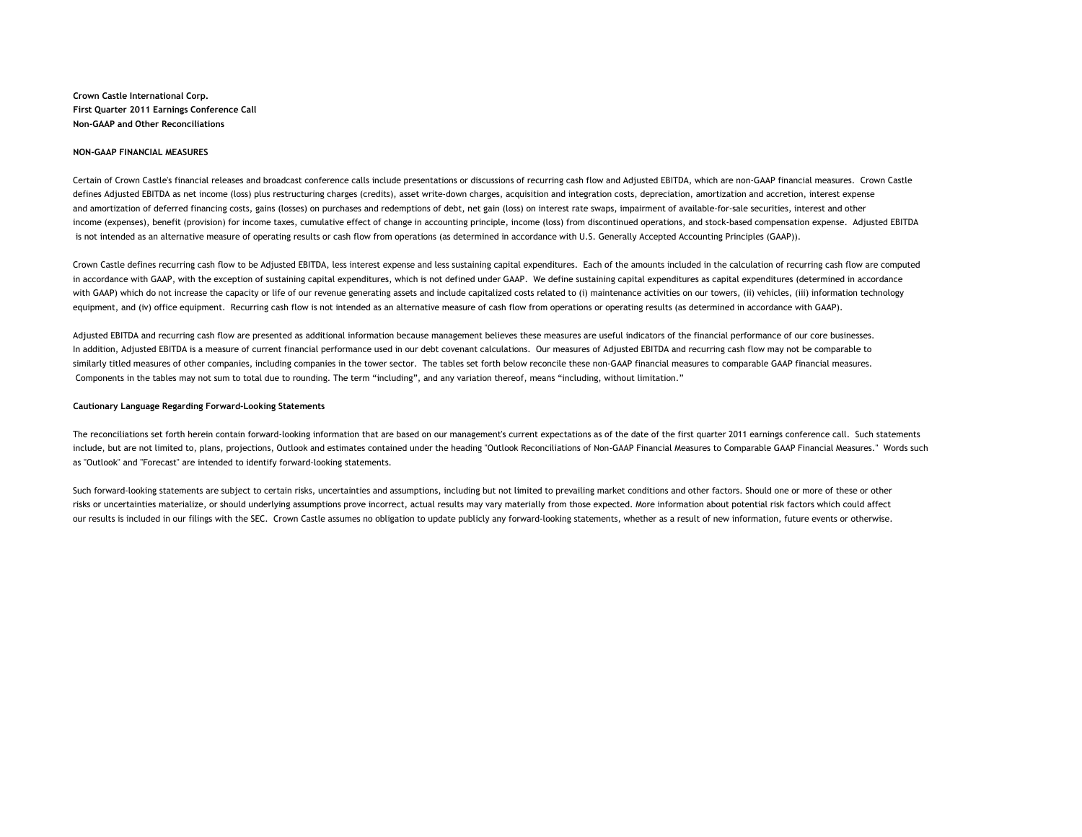**Crown Castle International Corp. First Quarter 2011 Earnings Conference Call Non-GAAP and Other Reconciliations**

#### **NON-GAAP FINANCIAL MEASURES**

Certain of Crown Castle's financial releases and broadcast conference calls include presentations or discussions of recurring cash flow and Adjusted EBITDA, which are non-GAAP financial measures. Crown Castle defines Adjusted EBITDA as net income (loss) plus restructuring charges (credits), asset write-down charges, acquisition and integration costs, depreciation, amortization and accretion, interest expense and amortization of deferred financing costs, gains (losses) on purchases and redemptions of debt, net gain (loss) on interest rate swaps, impairment of available-for-sale securities, interest and other income (expenses), benefit (provision) for income taxes, cumulative effect of change in accounting principle, income (loss) from discontinued operations, and stock-based compensation expense. Adjusted EBITDA is not intended as an alternative measure of operating results or cash flow from operations (as determined in accordance with U.S. Generally Accepted Accounting Principles (GAAP)).

Crown Castle defines recurring cash flow to be Adjusted EBITDA, less interest expense and less sustaining capital expenditures. Each of the amounts included in the calculation of recurring cash flow are computed in accordance with GAAP, with the exception of sustaining capital expenditures, which is not defined under GAAP. We define sustaining capital expenditures as capital expenditures (determined in accordance with GAAP) which do not increase the capacity or life of our revenue generating assets and include capitalized costs related to (i) maintenance activities on our towers, (ii) vehicles, (iii) information technology equipment, and (iv) office equipment. Recurring cash flow is not intended as an alternative measure of cash flow from operations or operating results (as determined in accordance with GAAP).

Adjusted EBITDA and recurring cash flow are presented as additional information because management believes these measures are useful indicators of the financial performance of our core businesses. In addition, Adjusted EBITDA is a measure of current financial performance used in our debt covenant calculations. Our measures of Adjusted EBITDA and recurring cash flow may not be comparable to similarly titled measures of other companies, including companies in the tower sector. The tables set forth below reconcile these non-GAAP financial measures to comparable GAAP financial measures Components in the tables may not sum to total due to rounding. The term "including", and any variation thereof, means "including, without limitation."

#### **Cautionary Language Regarding Forward-Looking Statements**

The reconciliations set forth herein contain forward-looking information that are based on our management's current expectations as of the date of the first quarter 2011 earnings conference call. Such statements include, but are not limited to, plans, projections, Outlook and estimates contained under the heading "Outlook Reconciliations of Non-GAAP Financial Measures to Comparable GAAP Financial Measures." Words such as "Outlook" and "Forecast" are intended to identify forward-looking statements.

Such forward-looking statements are subject to certain risks, uncertainties and assumptions, including but not limited to prevailing market conditions and other factors. Should one or more of these or other risks or uncertainties materialize, or should underlying assumptions prove incorrect, actual results may vary materially from those expected. More information about potential risk factors which could affect our results is included in our filings with the SEC. Crown Castle assumes no obligation to update publicly any forward-looking statements, whether as a result of new information, future events or otherwise.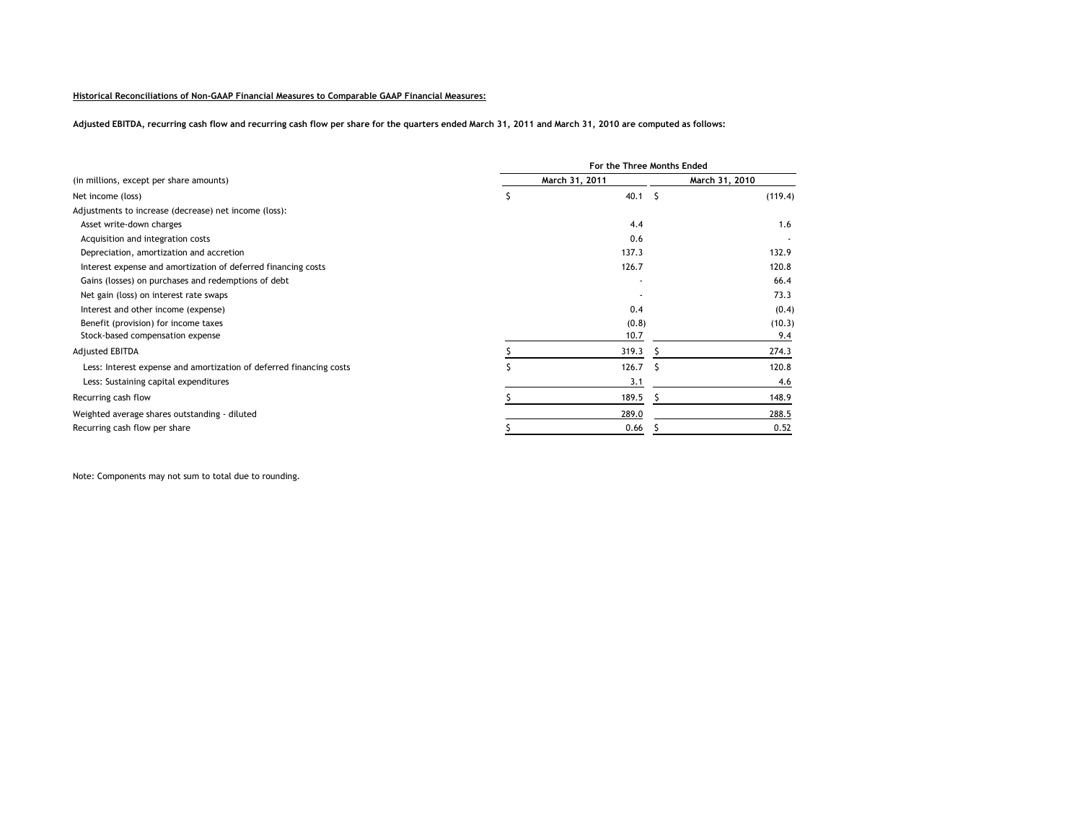### **Historical Reconciliations of Non-GAAP Financial Measures to Comparable GAAP Financial Measures:**

**Adjusted EBITDA, recurring cash flow and recurring cash flow per share for the quarters ended March 31, 2011 and March 31, 2010 are computed as follows:**

|                                                                     | For the Three Months Ended |       |                |         |
|---------------------------------------------------------------------|----------------------------|-------|----------------|---------|
| (in millions, except per share amounts)                             | March 31, 2011             |       | March 31, 2010 |         |
| Net income (loss)                                                   |                            | 40.1  | -S             | (119.4) |
| Adjustments to increase (decrease) net income (loss):               |                            |       |                |         |
| Asset write-down charges                                            |                            | 4.4   |                | 1.6     |
| Acquisition and integration costs                                   |                            | 0.6   |                |         |
| Depreciation, amortization and accretion                            |                            | 137.3 |                | 132.9   |
| Interest expense and amortization of deferred financing costs       |                            | 126.7 |                | 120.8   |
| Gains (losses) on purchases and redemptions of debt                 |                            |       |                | 66.4    |
| Net gain (loss) on interest rate swaps                              |                            |       |                | 73.3    |
| Interest and other income (expense)                                 |                            | 0.4   |                | (0.4)   |
| Benefit (provision) for income taxes                                |                            | (0.8) |                | (10.3)  |
| Stock-based compensation expense                                    |                            | 10.7  |                | 9.4     |
| <b>Adjusted EBITDA</b>                                              |                            | 319.3 |                | 274.3   |
| Less: Interest expense and amortization of deferred financing costs |                            | 126.7 | ς              | 120.8   |
| Less: Sustaining capital expenditures                               |                            | 3.1   |                | 4.6     |
| Recurring cash flow                                                 |                            | 189.5 |                | 148.9   |
| Weighted average shares outstanding - diluted                       |                            | 289.0 |                | 288.5   |
| Recurring cash flow per share                                       |                            | 0.66  |                | 0.52    |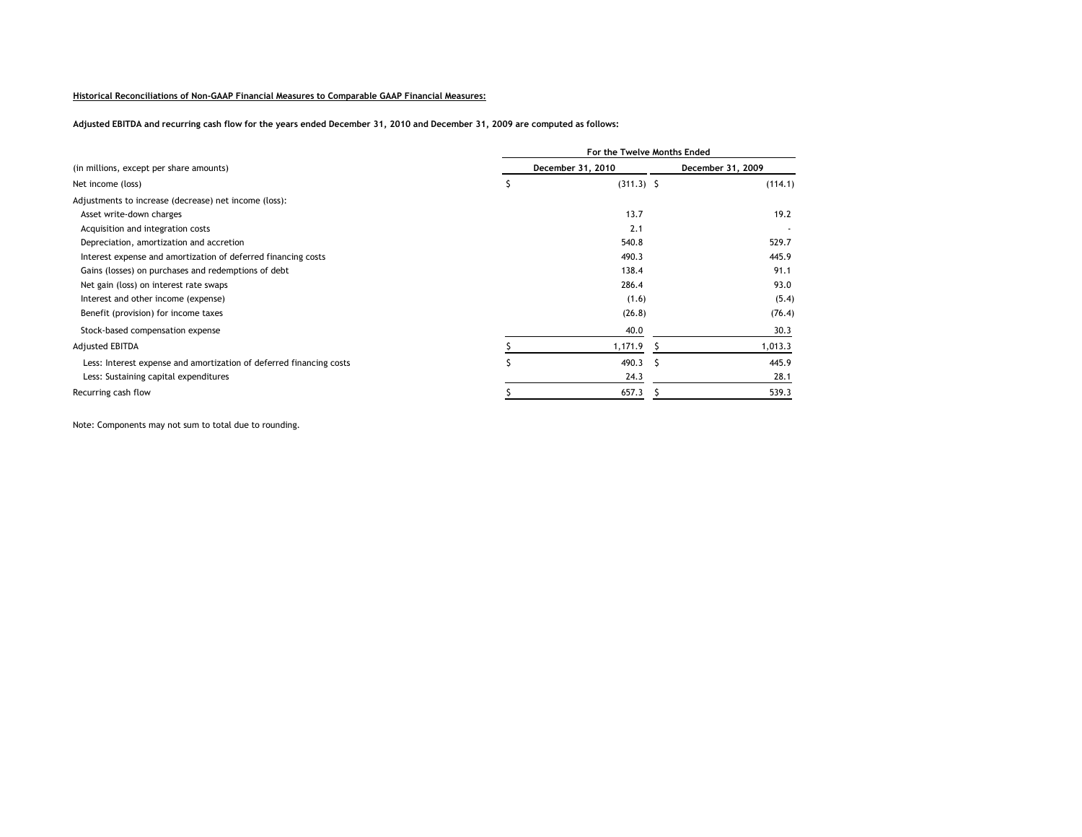### **Historical Reconciliations of Non-GAAP Financial Measures to Comparable GAAP Financial Measures:**

# **Adjusted EBITDA and recurring cash flow for the years ended December 31, 2010 and December 31, 2009 are computed as follows:**

|                                                                     | For the Twelve Months Ended |                   |    |                   |  |
|---------------------------------------------------------------------|-----------------------------|-------------------|----|-------------------|--|
| (in millions, except per share amounts)                             |                             | December 31, 2010 |    | December 31, 2009 |  |
| Net income (loss)                                                   | S                           | $(311.3)$ \$      |    | (114.1)           |  |
| Adjustments to increase (decrease) net income (loss):               |                             |                   |    |                   |  |
| Asset write-down charges                                            |                             | 13.7              |    | 19.2              |  |
| Acquisition and integration costs                                   |                             | 2.1               |    | ٠                 |  |
| Depreciation, amortization and accretion                            |                             | 540.8             |    | 529.7             |  |
| Interest expense and amortization of deferred financing costs       |                             | 490.3             |    | 445.9             |  |
| Gains (losses) on purchases and redemptions of debt                 |                             | 138.4             |    | 91.1              |  |
| Net gain (loss) on interest rate swaps                              |                             | 286.4             |    | 93.0              |  |
| Interest and other income (expense)                                 |                             | (1.6)             |    | (5.4)             |  |
| Benefit (provision) for income taxes                                |                             | (26.8)            |    | (76.4)            |  |
| Stock-based compensation expense                                    |                             | 40.0              |    | 30.3              |  |
| <b>Adjusted EBITDA</b>                                              |                             | 1,171.9           |    | 1,013.3           |  |
| Less: Interest expense and amortization of deferred financing costs |                             | 490.3             | -S | 445.9             |  |
| Less: Sustaining capital expenditures                               |                             | 24.3              |    | 28.1              |  |
| Recurring cash flow                                                 |                             | 657.3             |    | 539.3             |  |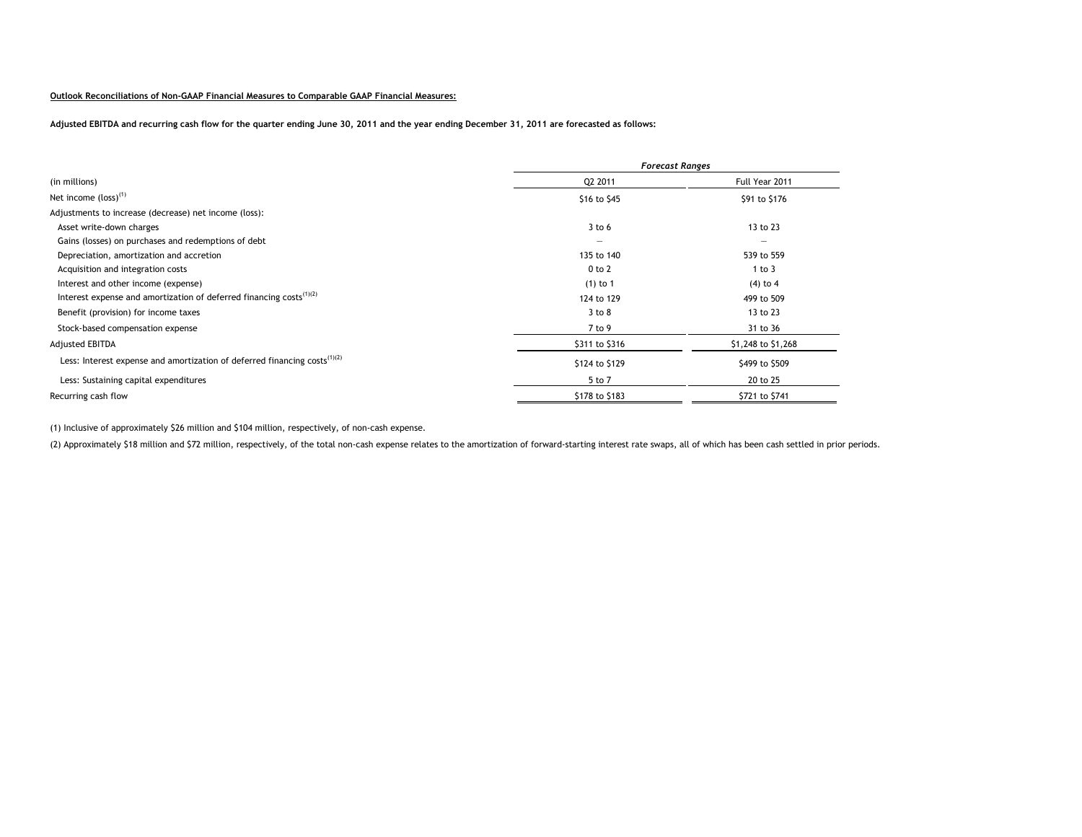### **Outlook Reconciliations of Non-GAAP Financial Measures to Comparable GAAP Financial Measures:**

### **Adjusted EBITDA and recurring cash flow for the quarter ending June 30, 2011 and the year ending December 31, 2011 are forecasted as follows:**

|                                                                                 | <b>Forecast Ranges</b> |                    |
|---------------------------------------------------------------------------------|------------------------|--------------------|
| (in millions)                                                                   | Q2 2011                | Full Year 2011     |
| Net income $(logs)$ <sup>(1)</sup>                                              | \$16 to \$45           | \$91 to \$176      |
| Adjustments to increase (decrease) net income (loss):                           |                        |                    |
| Asset write-down charges                                                        | $3$ to $6$             | 13 to 23           |
| Gains (losses) on purchases and redemptions of debt                             | -                      |                    |
| Depreciation, amortization and accretion                                        | 135 to 140             | 539 to 559         |
| Acquisition and integration costs                                               | $0$ to $2$             | $1$ to $3$         |
| Interest and other income (expense)                                             | $(1)$ to 1             | $(4)$ to 4         |
| Interest expense and amortization of deferred financing costs $^{(1)(2)}$       | 124 to 129             | 499 to 509         |
| Benefit (provision) for income taxes                                            | $3$ to $8$             | 13 to 23           |
| Stock-based compensation expense                                                | 7 to 9                 | 31 to 36           |
| <b>Adjusted EBITDA</b>                                                          | \$311 to \$316         | \$1,248 to \$1,268 |
| Less: Interest expense and amortization of deferred financing costs $^{(1)(2)}$ | \$124 to \$129         | \$499 to \$509     |
| Less: Sustaining capital expenditures                                           | 5 to 7                 | 20 to 25           |
| Recurring cash flow                                                             | \$178 to \$183         | \$721 to \$741     |

(1) Inclusive of approximately \$26 million and \$104 million, respectively, of non-cash expense.

(2) Approximately \$18 million and \$72 million, respectively, of the total non-cash expense relates to the amortization of forward-starting interest rate swaps, all of which has been cash settled in prior periods.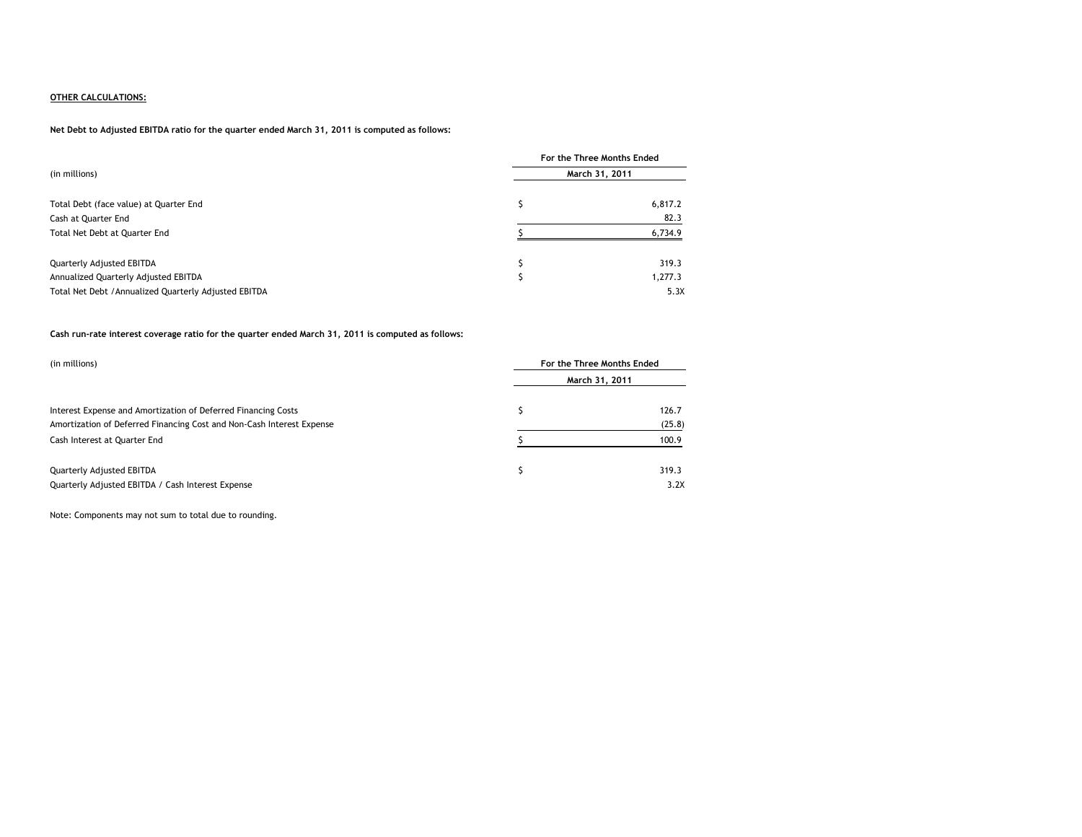# **OTHER CALCULATIONS:**

### **Net Debt to Adjusted EBITDA ratio for the quarter ended March 31, 2011 is computed as follows:**

|                                                       | For the Three Months Ended |  |  |
|-------------------------------------------------------|----------------------------|--|--|
| (in millions)                                         | March 31, 2011             |  |  |
| Total Debt (face value) at Quarter End                | 6,817.2                    |  |  |
| Cash at Quarter End                                   | 82.3                       |  |  |
| Total Net Debt at Quarter End                         | 6,734.9                    |  |  |
| Quarterly Adjusted EBITDA                             | 319.3                      |  |  |
| Annualized Quarterly Adjusted EBITDA                  | 1,277.3                    |  |  |
| Total Net Debt / Annualized Quarterly Adjusted EBITDA | 5.3X                       |  |  |

## **Cash run-rate interest coverage ratio for the quarter ended March 31, 2011 is computed as follows:**

| (in millions)                                                         | For the Three Months Ended |        |  |
|-----------------------------------------------------------------------|----------------------------|--------|--|
|                                                                       | March 31, 2011             |        |  |
| Interest Expense and Amortization of Deferred Financing Costs         |                            | 126.7  |  |
| Amortization of Deferred Financing Cost and Non-Cash Interest Expense |                            | (25.8) |  |
| Cash Interest at Quarter End                                          |                            | 100.9  |  |
| Quarterly Adjusted EBITDA                                             |                            | 319.3  |  |
| Quarterly Adjusted EBITDA / Cash Interest Expense                     |                            | 3.2X   |  |